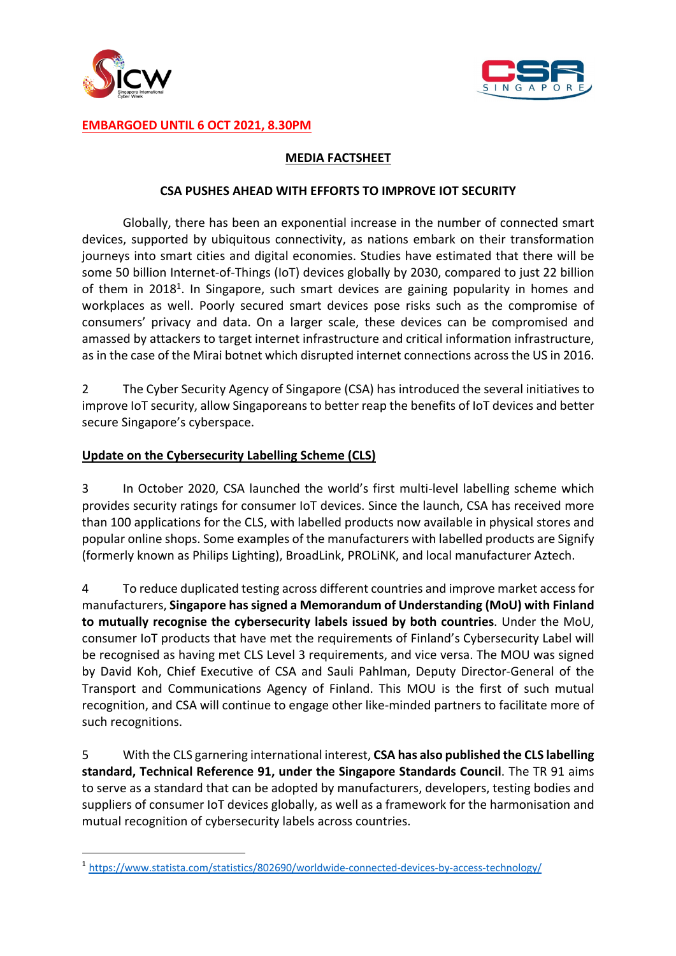



## **EMBARGOED UNTIL 6 OCT 2021, 8.30PM**

## **MEDIA FACTSHEET**

#### **CSA PUSHES AHEAD WITH EFFORTS TO IMPROVE IOT SECURITY**

Globally, there has been an exponential increase in the number of connected smart devices, supported by ubiquitous connectivity, as nations embark on their transformation journeys into smart cities and digital economies. Studies have estimated that there will be some 50 billion Internet-of-Things (IoT) devices globally by 2030, compared to just 22 billion of them in 2018<sup>1</sup>. In Singapore, such smart devices are gaining popularity in homes and workplaces as well. Poorly secured smart devices pose risks such as the compromise of consumers' privacy and data. On a larger scale, these devices can be compromised and amassed by attackers to target internet infrastructure and critical information infrastructure, as in the case of the Mirai botnet which disrupted internet connections across the US in 2016.

2 The Cyber Security Agency of Singapore (CSA) has introduced the several initiatives to improve IoT security, allow Singaporeans to better reap the benefits of IoT devices and better secure Singapore's cyberspace.

## **Update on the Cybersecurity Labelling Scheme (CLS)**

3 In October 2020, CSA launched the world's first multi-level labelling scheme which provides security ratings for consumer IoT devices. Since the launch, CSA has received more than 100 applications for the CLS, with labelled products now available in physical stores and popular online shops. Some examples of the manufacturers with labelled products are Signify (formerly known as Philips Lighting), BroadLink, PROLiNK, and local manufacturer Aztech.

4 To reduce duplicated testing across different countries and improve market access for manufacturers, **Singapore has signed a Memorandum of Understanding (MoU) with Finland to mutually recognise the cybersecurity labels issued by both countries**. Under the MoU, consumer IoT products that have met the requirements of Finland's Cybersecurity Label will be recognised as having met CLS Level 3 requirements, and vice versa. The MOU was signed by David Koh, Chief Executive of CSA and Sauli Pahlman, Deputy Director-General of the Transport and Communications Agency of Finland. This MOU is the first of such mutual recognition, and CSA will continue to engage other like-minded partners to facilitate more of such recognitions.

5 With the CLS garnering international interest, **CSA has also published the CLS labelling standard, Technical Reference 91, under the Singapore Standards Council**. The TR 91 aims to serve as a standard that can be adopted by manufacturers, developers, testing bodies and suppliers of consumer IoT devices globally, as well as a framework for the harmonisation and mutual recognition of cybersecurity labels across countries.

<sup>1</sup> https://www.statista.com/statistics/802690/worldwide-connected-devices-by-access-technology/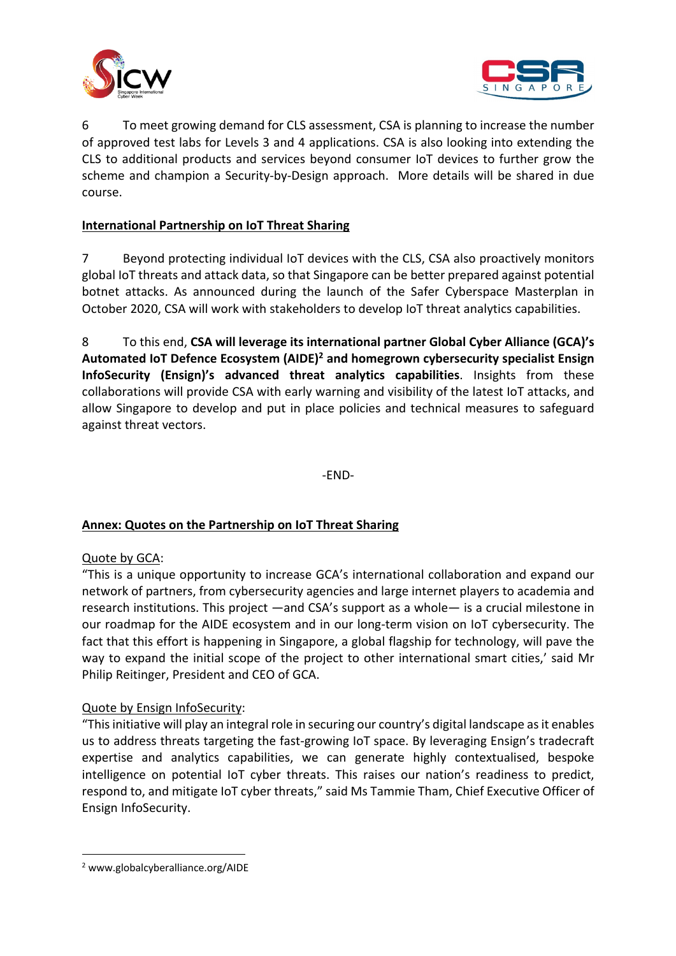



6 To meet growing demand for CLS assessment, CSA is planning to increase the number of approved test labs for Levels 3 and 4 applications. CSA is also looking into extending the CLS to additional products and services beyond consumer IoT devices to further grow the scheme and champion a Security-by-Design approach. More details will be shared in due course.

# **International Partnership on IoT Threat Sharing**

7 Beyond protecting individual IoT devices with the CLS, CSA also proactively monitors global IoT threats and attack data, so that Singapore can be better prepared against potential botnet attacks. As announced during the launch of the Safer Cyberspace Masterplan in October 2020, CSA will work with stakeholders to develop IoT threat analytics capabilities.

8 To this end, **CSA will leverage its international partner Global Cyber Alliance (GCA)'s Automated IoT Defence Ecosystem (AIDE)2 and homegrown cybersecurity specialist Ensign InfoSecurity (Ensign)'s advanced threat analytics capabilities**. Insights from these collaborations will provide CSA with early warning and visibility of the latest IoT attacks, and allow Singapore to develop and put in place policies and technical measures to safeguard against threat vectors.

-END-

## **Annex: Quotes on the Partnership on IoT Threat Sharing**

## Quote by GCA:

"This is a unique opportunity to increase GCA's international collaboration and expand our network of partners, from cybersecurity agencies and large internet players to academia and research institutions. This project —and CSA's support as a whole— is a crucial milestone in our roadmap for the AIDE ecosystem and in our long-term vision on IoT cybersecurity. The fact that this effort is happening in Singapore, a global flagship for technology, will pave the way to expand the initial scope of the project to other international smart cities,' said Mr Philip Reitinger, President and CEO of GCA.

#### Quote by Ensign InfoSecurity:

"This initiative will play an integral role in securing our country's digital landscape as it enables us to address threats targeting the fast-growing IoT space. By leveraging Ensign's tradecraft expertise and analytics capabilities, we can generate highly contextualised, bespoke intelligence on potential IoT cyber threats. This raises our nation's readiness to predict, respond to, and mitigate IoT cyber threats," said Ms Tammie Tham, Chief Executive Officer of Ensign InfoSecurity.

<sup>2</sup> www.globalcyberalliance.org/AIDE